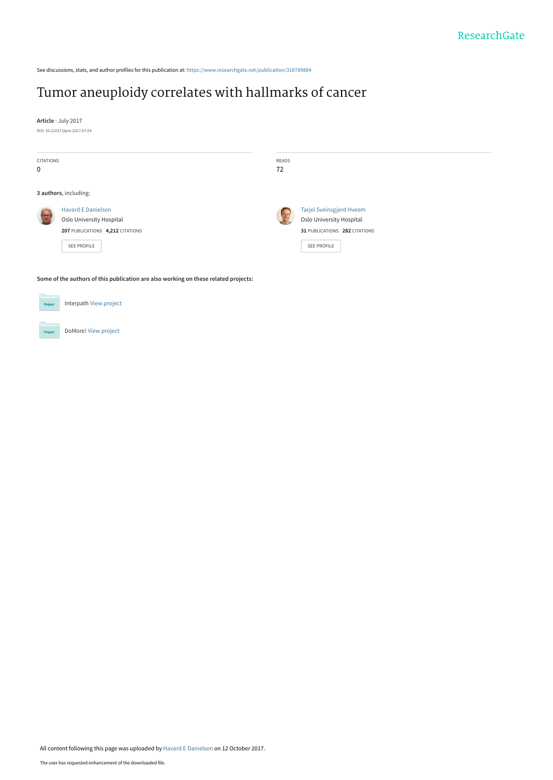See discussions, stats, and author profiles for this publication at: [https://www.researchgate.net/publication/318789884](https://www.researchgate.net/publication/318789884_Tumor_aneuploidy_correlates_with_hallmarks_of_cancer?enrichId=rgreq-8fcd3af85686eb78e78f2ff130ef2e90-XXX&enrichSource=Y292ZXJQYWdlOzMxODc4OTg4NDtBUzo1NDg2MzE0MDExODkzODFAMTUwNzgxNTMyNzk0OQ%3D%3D&el=1_x_2&_esc=publicationCoverPdf)

# [Tumor aneuploidy correlates with hallmarks of cancer](https://www.researchgate.net/publication/318789884_Tumor_aneuploidy_correlates_with_hallmarks_of_cancer?enrichId=rgreq-8fcd3af85686eb78e78f2ff130ef2e90-XXX&enrichSource=Y292ZXJQYWdlOzMxODc4OTg4NDtBUzo1NDg2MzE0MDExODkzODFAMTUwNzgxNTMyNzk0OQ%3D%3D&el=1_x_3&_esc=publicationCoverPdf)

**Article** · July 2017 DOI: 10.21037/jlpm.2017.07.04

| <b>CITATIONS</b><br>$\mathbf 0$ |                                                                                                                 | READS<br>72    |                                                                                                      |
|---------------------------------|-----------------------------------------------------------------------------------------------------------------|----------------|------------------------------------------------------------------------------------------------------|
| 3 authors, including:           |                                                                                                                 |                |                                                                                                      |
| <b>PE</b>                       | <b>Havard E Danielsen</b><br>Oslo University Hospital<br>207 PUBLICATIONS 4,212 CITATIONS<br><b>SEE PROFILE</b> | $\overline{a}$ | Tarjei Sveinsgjerd Hveem<br>Oslo University Hospital<br>31 PUBLICATIONS 282 CITATIONS<br>SEE PROFILE |

**Some of the authors of this publication are also working on these related projects:**

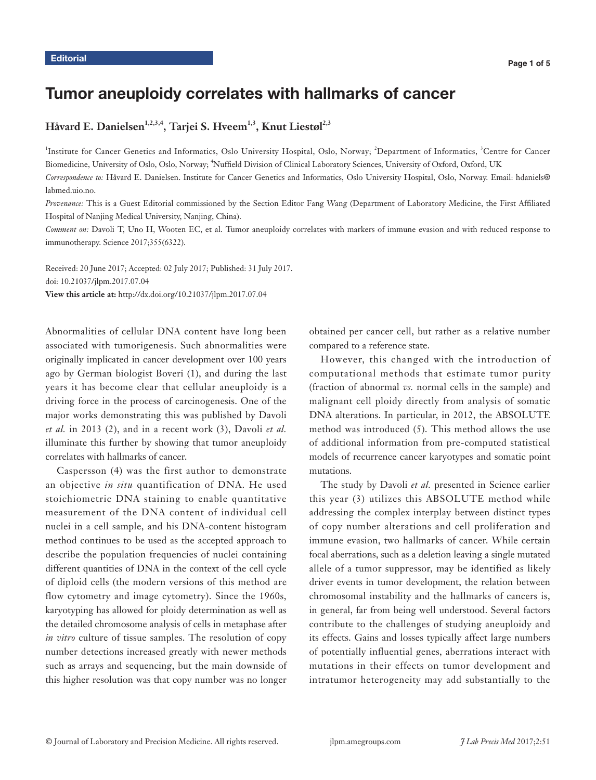## Tumor aneuploidy correlates with hallmarks of cancer

### Håvard E. Danielsen<sup>1,2,3,4</sup>, Tarjei S. Hveem<sup>1,3</sup>, Knut Liestøl<sup>2,3</sup>

<sup>1</sup>Institute for Cancer Genetics and Informatics, Oslo University Hospital, Oslo, Norway; <sup>2</sup>Department of Informatics, <sup>3</sup>Centre for Cancer Biomedicine, University of Oslo, Oslo, Norway; <sup>4</sup>Nuffield Division of Clinical Laboratory Sciences, University of Oxford, Oxford, UK *Correspondence to:* Håvard E. Danielsen. Institute for Cancer Genetics and Informatics, Oslo University Hospital, Oslo, Norway. Email: hdaniels@ labmed.uio.no.

*Provenance:* This is a Guest Editorial commissioned by the Section Editor Fang Wang (Department of Laboratory Medicine, the First Affiliated Hospital of Nanjing Medical University, Nanjing, China).

*Comment on:* Davoli T, Uno H, Wooten EC, et al. Tumor aneuploidy correlates with markers of immune evasion and with reduced response to immunotherapy. Science 2017;355(6322).

Received: 20 June 2017; Accepted: 02 July 2017; Published: 31 July 2017. doi: 10.21037/jlpm.2017.07.04 **View this article at:** http://dx.doi.org/10.21037/jlpm.2017.07.04

Abnormalities of cellular DNA content have long been associated with tumorigenesis. Such abnormalities were originally implicated in cancer development over 100 years ago by German biologist Boveri (1), and during the last years it has become clear that cellular aneuploidy is a driving force in the process of carcinogenesis. One of the major works demonstrating this was published by Davoli *et al.* in 2013 (2), and in a recent work (3), Davoli *et al.* illuminate this further by showing that tumor aneuploidy correlates with hallmarks of cancer.

Caspersson (4) was the first author to demonstrate an objective *in situ* quantification of DNA. He used stoichiometric DNA staining to enable quantitative measurement of the DNA content of individual cell nuclei in a cell sample, and his DNA-content histogram method continues to be used as the accepted approach to describe the population frequencies of nuclei containing different quantities of DNA in the context of the cell cycle of diploid cells (the modern versions of this method are flow cytometry and image cytometry). Since the 1960s, karyotyping has allowed for ploidy determination as well as the detailed chromosome analysis of cells in metaphase after *in vitro* culture of tissue samples. The resolution of copy number detections increased greatly with newer methods such as arrays and sequencing, but the main downside of this higher resolution was that copy number was no longer obtained per cancer cell, but rather as a relative number compared to a reference state.

However, this changed with the introduction of computational methods that estimate tumor purity (fraction of abnormal *vs.* normal cells in the sample) and malignant cell ploidy directly from analysis of somatic DNA alterations. In particular, in 2012, the ABSOLUTE method was introduced (5). This method allows the use of additional information from pre-computed statistical models of recurrence cancer karyotypes and somatic point mutations.

The study by Davoli *et al.* presented in Science earlier this year (3) utilizes this ABSOLUTE method while addressing the complex interplay between distinct types of copy number alterations and cell proliferation and immune evasion, two hallmarks of cancer. While certain focal aberrations, such as a deletion leaving a single mutated allele of a tumor suppressor, may be identified as likely driver events in tumor development, the relation between chromosomal instability and the hallmarks of cancers is, in general, far from being well understood. Several factors contribute to the challenges of studying aneuploidy and its effects. Gains and losses typically affect large numbers of potentially influential genes, aberrations interact with mutations in their effects on tumor development and intratumor heterogeneity may add substantially to the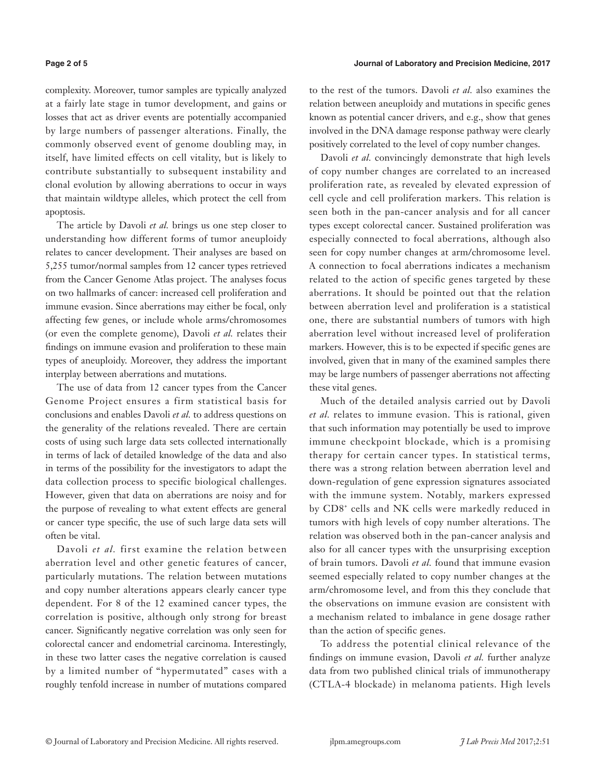#### **Page 2 of 5 Journal of Laboratory and Precision Medicine, 2017**

complexity. Moreover, tumor samples are typically analyzed at a fairly late stage in tumor development, and gains or losses that act as driver events are potentially accompanied by large numbers of passenger alterations. Finally, the commonly observed event of genome doubling may, in itself, have limited effects on cell vitality, but is likely to contribute substantially to subsequent instability and clonal evolution by allowing aberrations to occur in ways that maintain wildtype alleles, which protect the cell from apoptosis.

The article by Davoli *et al.* brings us one step closer to understanding how different forms of tumor aneuploidy relates to cancer development. Their analyses are based on 5,255 tumor/normal samples from 12 cancer types retrieved from the Cancer Genome Atlas project. The analyses focus on two hallmarks of cancer: increased cell proliferation and immune evasion. Since aberrations may either be focal, only affecting few genes, or include whole arms/chromosomes (or even the complete genome), Davoli *et al.* relates their findings on immune evasion and proliferation to these main types of aneuploidy. Moreover, they address the important interplay between aberrations and mutations.

The use of data from 12 cancer types from the Cancer Genome Project ensures a firm statistical basis for conclusions and enables Davoli *et al.* to address questions on the generality of the relations revealed. There are certain costs of using such large data sets collected internationally in terms of lack of detailed knowledge of the data and also in terms of the possibility for the investigators to adapt the data collection process to specific biological challenges. However, given that data on aberrations are noisy and for the purpose of revealing to what extent effects are general or cancer type specific, the use of such large data sets will often be vital.

Davoli *et al.* first examine the relation between aberration level and other genetic features of cancer, particularly mutations. The relation between mutations and copy number alterations appears clearly cancer type dependent. For 8 of the 12 examined cancer types, the correlation is positive, although only strong for breast cancer. Significantly negative correlation was only seen for colorectal cancer and endometrial carcinoma. Interestingly, in these two latter cases the negative correlation is caused by a limited number of "hypermutated" cases with a roughly tenfold increase in number of mutations compared

to the rest of the tumors. Davoli *et al.* also examines the relation between aneuploidy and mutations in specific genes known as potential cancer drivers, and e.g., show that genes involved in the DNA damage response pathway were clearly positively correlated to the level of copy number changes.

Davoli *et al.* convincingly demonstrate that high levels of copy number changes are correlated to an increased proliferation rate, as revealed by elevated expression of cell cycle and cell proliferation markers. This relation is seen both in the pan-cancer analysis and for all cancer types except colorectal cancer. Sustained proliferation was especially connected to focal aberrations, although also seen for copy number changes at arm/chromosome level. A connection to focal aberrations indicates a mechanism related to the action of specific genes targeted by these aberrations. It should be pointed out that the relation between aberration level and proliferation is a statistical one, there are substantial numbers of tumors with high aberration level without increased level of proliferation markers. However, this is to be expected if specific genes are involved, given that in many of the examined samples there may be large numbers of passenger aberrations not affecting these vital genes.

Much of the detailed analysis carried out by Davoli *et al.* relates to immune evasion. This is rational, given that such information may potentially be used to improve immune checkpoint blockade, which is a promising therapy for certain cancer types. In statistical terms, there was a strong relation between aberration level and down-regulation of gene expression signatures associated with the immune system. Notably, markers expressed by CD8<sup>+</sup> cells and NK cells were markedly reduced in tumors with high levels of copy number alterations. The relation was observed both in the pan-cancer analysis and also for all cancer types with the unsurprising exception of brain tumors. Davoli *et al.* found that immune evasion seemed especially related to copy number changes at the arm/chromosome level, and from this they conclude that the observations on immune evasion are consistent with a mechanism related to imbalance in gene dosage rather than the action of specific genes.

To address the potential clinical relevance of the findings on immune evasion, Davoli *et al.* further analyze data from two published clinical trials of immunotherapy (CTLA-4 blockade) in melanoma patients. High levels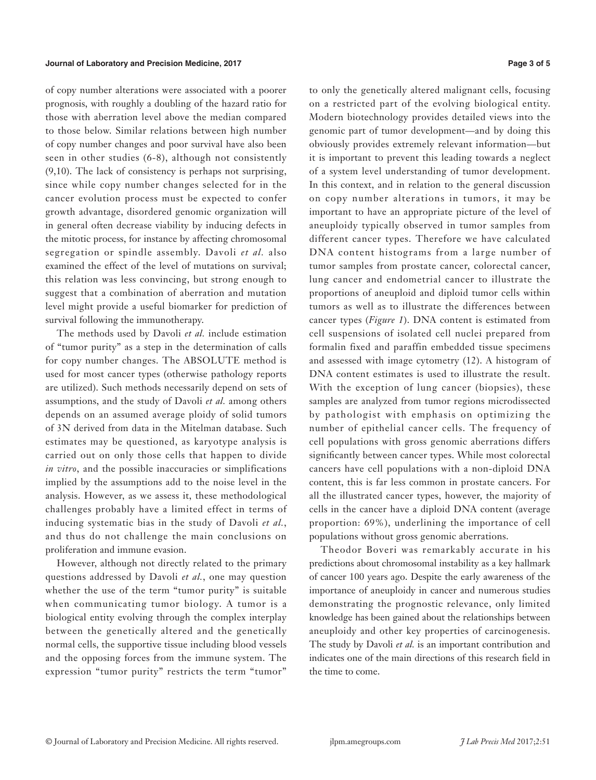of copy number alterations were associated with a poorer prognosis, with roughly a doubling of the hazard ratio for those with aberration level above the median compared to those below. Similar relations between high number of copy number changes and poor survival have also been seen in other studies (6-8), although not consistently (9,10). The lack of consistency is perhaps not surprising, since while copy number changes selected for in the cancer evolution process must be expected to confer growth advantage, disordered genomic organization will in general often decrease viability by inducing defects in the mitotic process, for instance by affecting chromosomal segregation or spindle assembly. Davoli *et al.* also examined the effect of the level of mutations on survival; this relation was less convincing, but strong enough to suggest that a combination of aberration and mutation level might provide a useful biomarker for prediction of survival following the immunotherapy.

The methods used by Davoli *et al.* include estimation of "tumor purity" as a step in the determination of calls for copy number changes. The ABSOLUTE method is used for most cancer types (otherwise pathology reports are utilized). Such methods necessarily depend on sets of assumptions, and the study of Davoli *et al.* among others depends on an assumed average ploidy of solid tumors of 3N derived from data in the Mitelman database. Such estimates may be questioned, as karyotype analysis is carried out on only those cells that happen to divide *in vitro*, and the possible inaccuracies or simplifications implied by the assumptions add to the noise level in the analysis. However, as we assess it, these methodological challenges probably have a limited effect in terms of inducing systematic bias in the study of Davoli *et al.*, and thus do not challenge the main conclusions on proliferation and immune evasion.

However, although not directly related to the primary questions addressed by Davoli *et al.*, one may question whether the use of the term "tumor purity" is suitable when communicating tumor biology. A tumor is a biological entity evolving through the complex interplay between the genetically altered and the genetically normal cells, the supportive tissue including blood vessels and the opposing forces from the immune system. The expression "tumor purity" restricts the term "tumor"

to only the genetically altered malignant cells, focusing on a restricted part of the evolving biological entity. Modern biotechnology provides detailed views into the genomic part of tumor development—and by doing this obviously provides extremely relevant information—but it is important to prevent this leading towards a neglect of a system level understanding of tumor development. In this context, and in relation to the general discussion on copy number alterations in tumors, it may be important to have an appropriate picture of the level of aneuploidy typically observed in tumor samples from different cancer types. Therefore we have calculated DNA content histograms from a large number of tumor samples from prostate cancer, colorectal cancer, lung cancer and endometrial cancer to illustrate the proportions of aneuploid and diploid tumor cells within tumors as well as to illustrate the differences between cancer types (*Figure 1*). DNA content is estimated from cell suspensions of isolated cell nuclei prepared from formalin fixed and paraffin embedded tissue specimens and assessed with image cytometry (12). A histogram of DNA content estimates is used to illustrate the result. With the exception of lung cancer (biopsies), these samples are analyzed from tumor regions microdissected by pathologist with emphasis on optimizing the number of epithelial cancer cells. The frequency of cell populations with gross genomic aberrations differs significantly between cancer types. While most colorectal cancers have cell populations with a non-diploid DNA content, this is far less common in prostate cancers. For all the illustrated cancer types, however, the majority of cells in the cancer have a diploid DNA content (average proportion: 69%), underlining the importance of cell populations without gross genomic aberrations.

Theodor Boveri was remarkably accurate in his predictions about chromosomal instability as a key hallmark of cancer 100 years ago. Despite the early awareness of the importance of aneuploidy in cancer and numerous studies demonstrating the prognostic relevance, only limited knowledge has been gained about the relationships between aneuploidy and other key properties of carcinogenesis. The study by Davoli *et al.* is an important contribution and indicates one of the main directions of this research field in the time to come.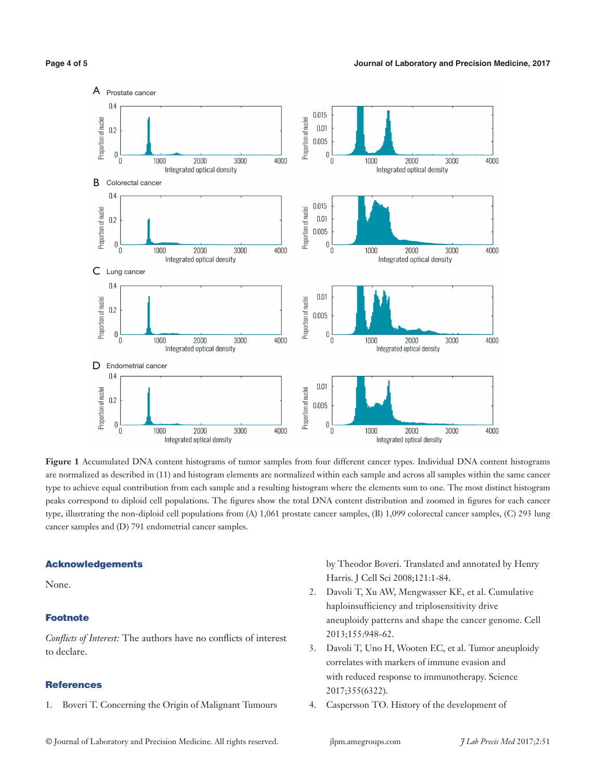

**Figure 1** Accumulated DNA content histograms of tumor samples from four different cancer types. Individual DNA content histograms are normalized as described in (11) and histogram elements are normalized within each sample and across all samples within the same cancer type to achieve equal contribution from each sample and a resulting histogram where the elements sum to one. The most distinct histogram peaks correspond to diploid cell populations. The figures show the total DNA content distribution and zoomed in figures for each cancer type, illustrating the non-diploid cell populations from (A) 1,061 prostate cancer samples, (B) 1,099 colorectal cancer samples, (C) 293 lung cancer samples and (D) 791 endometrial cancer samples.

#### Acknowledgements

None.

#### Footnote

*Conflicts of Interest:* The authors have no conflicts of interest to declare.

#### **References**

1. Boveri T. Concerning the Origin of Malignant Tumours

by Theodor Boveri. Translated and annotated by Henry Harris. J Cell Sci 2008;121:1-84.

- 2. Davoli T, Xu AW, Mengwasser KE, et al. Cumulative haploinsufficiency and triplosensitivity drive aneuploidy patterns and shape the cancer genome. Cell 2013;155:948-62.
- 3. Davoli T, Uno H, Wooten EC, et al. Tumor aneuploidy correlates with markers of immune evasion and with reduced response to immunotherapy. Science 2017;355(6322).
- 4. Caspersson TO. History of the development of